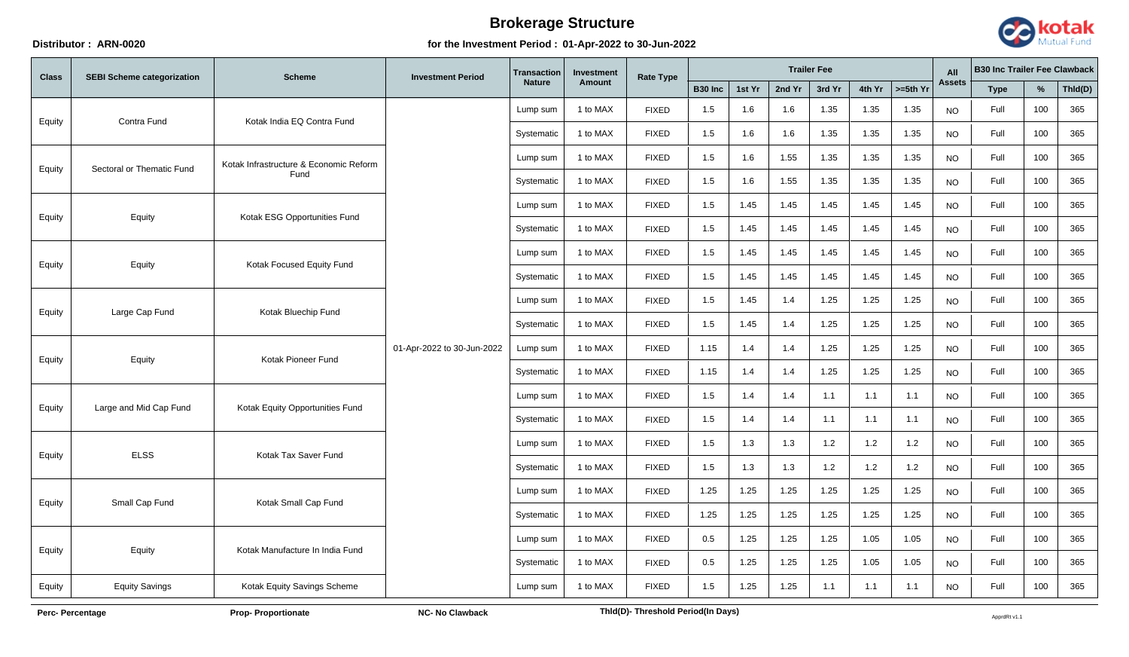## **Distributor : ARN-0020 for the Investment Period : 01-Apr-2022 to 30-Jun-2022**



| <b>Class</b> | <b>SEBI Scheme categorization</b> | <b>Scheme</b>                             | <b>Investment Period</b>   | Transaction<br><b>Investment</b><br><b>Nature</b><br>Amount | <b>Rate Type</b> | <b>Trailer Fee</b> |              |        |        |        |        | All                   | <b>B30 Inc Trailer Fee Clawback</b> |             |      |         |     |
|--------------|-----------------------------------|-------------------------------------------|----------------------------|-------------------------------------------------------------|------------------|--------------------|--------------|--------|--------|--------|--------|-----------------------|-------------------------------------|-------------|------|---------|-----|
|              |                                   |                                           |                            |                                                             |                  |                    | B30 Inc      | 1st Yr | 2nd Yr | 3rd Yr | 4th Yr | $\Rightarrow$ =5th Yr | <b>Assets</b>                       | <b>Type</b> | %    | Thid(D) |     |
| Equity       |                                   | Kotak India EQ Contra Fund<br>Contra Fund |                            | Lump sum                                                    | 1 to MAX         | <b>FIXED</b>       | 1.5          | 1.6    | 1.6    | 1.35   | 1.35   | 1.35                  | <b>NO</b>                           | Full        | 100  | 365     |     |
|              |                                   |                                           |                            | Systematic                                                  | 1 to MAX         | <b>FIXED</b>       | 1.5          | 1.6    | 1.6    | 1.35   | 1.35   | 1.35                  | <b>NO</b>                           | Full        | 100  | 365     |     |
| Equity       | Sectoral or Thematic Fund         | Kotak Infrastructure & Economic Reform    |                            | Lump sum                                                    | 1 to MAX         | <b>FIXED</b>       | 1.5          | 1.6    | 1.55   | 1.35   | 1.35   | 1.35                  | NO.                                 | Full        | 100  | 365     |     |
|              |                                   | Fund                                      |                            | Systematic                                                  | 1 to MAX         | <b>FIXED</b>       | 1.5          | 1.6    | 1.55   | 1.35   | 1.35   | 1.35                  | <b>NO</b>                           | Full        | 100  | 365     |     |
| Equity       | Equity                            | Kotak ESG Opportunities Fund              |                            | Lump sum                                                    | 1 to MAX         | <b>FIXED</b>       | 1.5          | 1.45   | 1.45   | 1.45   | 1.45   | 1.45                  | <b>NO</b>                           | Full        | 100  | 365     |     |
|              |                                   |                                           |                            | Systematic                                                  | 1 to MAX         | <b>FIXED</b>       | 1.5          | 1.45   | 1.45   | 1.45   | 1.45   | 1.45                  | NO.                                 | Full        | 100  | 365     |     |
| Equity       | Equity                            |                                           | Kotak Focused Equity Fund  |                                                             | Lump sum         | 1 to MAX           | <b>FIXED</b> | 1.5    | 1.45   | 1.45   | 1.45   | 1.45                  | 1.45                                | <b>NO</b>   | Full | 100     | 365 |
|              |                                   |                                           |                            | Systematic                                                  | 1 to MAX         | <b>FIXED</b>       | 1.5          | 1.45   | 1.45   | 1.45   | 1.45   | 1.45                  | <b>NO</b>                           | Full        | 100  | 365     |     |
|              | Large Cap Fund                    | Kotak Bluechip Fund                       |                            |                                                             | Lump sum         | 1 to MAX           | <b>FIXED</b> | 1.5    | 1.45   | 1.4    | 1.25   | 1.25                  | 1.25                                | <b>NO</b>   | Full | 100     | 365 |
| Equity       |                                   |                                           | 01-Apr-2022 to 30-Jun-2022 | Systematic                                                  | 1 to MAX         | <b>FIXED</b>       | 1.5          | 1.45   | 1.4    | 1.25   | 1.25   | 1.25                  | <b>NO</b>                           | Full        | 100  | 365     |     |
|              | Equity                            | Kotak Pioneer Fund                        |                            | Lump sum                                                    | 1 to MAX         | <b>FIXED</b>       | 1.15         | 1.4    | 1.4    | 1.25   | 1.25   | 1.25                  | <b>NO</b>                           | Full        | 100  | 365     |     |
| Equity       |                                   |                                           |                            | Systematic                                                  | 1 to MAX         | <b>FIXED</b>       | 1.15         | 1.4    | 1.4    | 1.25   | 1.25   | 1.25                  | <b>NO</b>                           | Full        | 100  | 365     |     |
|              |                                   |                                           |                            | Lump sum                                                    | 1 to MAX         | <b>FIXED</b>       | 1.5          | 1.4    | 1.4    | 1.1    | 1.1    | 1.1                   | <b>NO</b>                           | Full        | 100  | 365     |     |
| Equity       | Large and Mid Cap Fund            | Kotak Equity Opportunities Fund           |                            | Systematic                                                  | 1 to MAX         | <b>FIXED</b>       | 1.5          | 1.4    | 1.4    | 1.1    | 1.1    | 1.1                   | <b>NO</b>                           | Full        | 100  | 365     |     |
|              | <b>ELSS</b>                       | Kotak Tax Saver Fund                      |                            | Lump sum                                                    | 1 to MAX         | <b>FIXED</b>       | 1.5          | 1.3    | 1.3    | 1.2    | 1.2    | 1.2                   | <b>NO</b>                           | Full        | 100  | 365     |     |
| Equity       |                                   |                                           |                            | Systematic                                                  | 1 to MAX         | <b>FIXED</b>       | 1.5          | 1.3    | 1.3    | 1.2    | 1.2    | 1.2                   | <b>NO</b>                           | Full        | 100  | 365     |     |
|              |                                   |                                           |                            | Lump sum                                                    | 1 to MAX         | <b>FIXED</b>       | 1.25         | 1.25   | 1.25   | 1.25   | 1.25   | 1.25                  | <b>NO</b>                           | Full        | 100  | 365     |     |
| Equity       | Small Cap Fund                    | Kotak Small Cap Fund                      |                            | Systematic                                                  | 1 to MAX         | <b>FIXED</b>       | 1.25         | 1.25   | 1.25   | 1.25   | 1.25   | 1.25                  | <b>NO</b>                           | Full        | 100  | 365     |     |
|              |                                   |                                           |                            | Lump sum                                                    | 1 to MAX         | <b>FIXED</b>       | 0.5          | 1.25   | 1.25   | 1.25   | 1.05   | 1.05                  | <b>NO</b>                           | Full        | 100  | 365     |     |
| Equity       | Equity                            | Kotak Manufacture In India Fund           |                            | Systematic                                                  | 1 to MAX         | <b>FIXED</b>       | 0.5          | 1.25   | 1.25   | 1.25   | 1.05   | 1.05                  | <b>NO</b>                           | Full        | 100  | 365     |     |
| Equity       | <b>Equity Savings</b>             | Kotak Equity Savings Scheme               |                            | Lump sum                                                    | 1 to MAX         | <b>FIXED</b>       | 1.5          | 1.25   | 1.25   | 1.1    | 1.1    | 1.1                   | <b>NO</b>                           | Full        | 100  | 365     |     |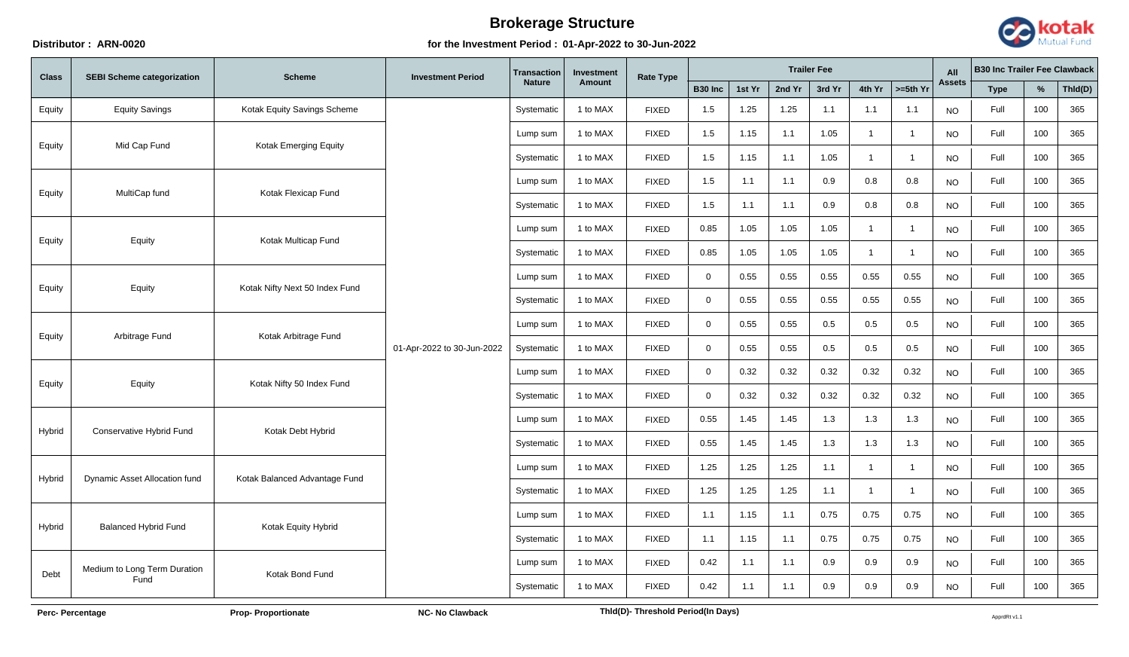## **Distributor : ARN-0020 for the Investment Period : 01-Apr-2022 to 30-Jun-2022**



| <b>Class</b> | <b>SEBI Scheme categorization</b> | <b>Scheme</b>                  | <b>Investment Period</b>   | <b>Transaction</b><br><b>Nature</b> | Investment | <b>Rate Type</b> | <b>Trailer Fee</b> |        |        |        |                |                         | All           | <b>B30 Inc Trailer Fee Clawback</b> |      |         |     |
|--------------|-----------------------------------|--------------------------------|----------------------------|-------------------------------------|------------|------------------|--------------------|--------|--------|--------|----------------|-------------------------|---------------|-------------------------------------|------|---------|-----|
|              |                                   |                                |                            |                                     | Amount     |                  | <b>B30 Inc</b>     | 1st Yr | 2nd Yr | 3rd Yr | 4th Yr         | $>=5th$ Yr              | <b>Assets</b> | <b>Type</b>                         | %    | Thid(D) |     |
| Equity       | <b>Equity Savings</b>             | Kotak Equity Savings Scheme    |                            |                                     | Systematic | 1 to MAX         | <b>FIXED</b>       | 1.5    | 1.25   | 1.25   | 1.1            | 1.1                     | 1.1           | <b>NO</b>                           | Full | 100     | 365 |
|              |                                   |                                |                            | Lump sum                            | 1 to MAX   | <b>FIXED</b>     | 1.5                | 1.15   | 1.1    | 1.05   | $\mathbf 1$    | -1                      | <b>NO</b>     | Full                                | 100  | 365     |     |
| Equity       | Mid Cap Fund                      | Kotak Emerging Equity          |                            | Systematic                          | 1 to MAX   | <b>FIXED</b>     | 1.5                | 1.15   | 1.1    | 1.05   | $\overline{1}$ | $\overline{1}$          | <b>NO</b>     | Full                                | 100  | 365     |     |
|              |                                   |                                |                            | Lump sum                            | 1 to MAX   | <b>FIXED</b>     | 1.5                | 1.1    | 1.1    | 0.9    | 0.8            | 0.8                     | <b>NO</b>     | Full                                | 100  | 365     |     |
| Equity       | MultiCap fund                     | Kotak Flexicap Fund            |                            | Systematic                          | 1 to MAX   | <b>FIXED</b>     | 1.5                | 1.1    | 1.1    | 0.9    | 0.8            | 0.8                     | <b>NO</b>     | Full                                | 100  | 365     |     |
|              |                                   |                                |                            | Lump sum                            | 1 to MAX   | <b>FIXED</b>     | 0.85               | 1.05   | 1.05   | 1.05   | $\overline{1}$ | $\overline{\mathbf{1}}$ | <b>NO</b>     | Full                                | 100  | 365     |     |
| Equity       | Equity                            | Kotak Multicap Fund            | 01-Apr-2022 to 30-Jun-2022 | Systematic                          | 1 to MAX   | <b>FIXED</b>     | 0.85               | 1.05   | 1.05   | 1.05   | -1             | -1                      | <b>NO</b>     | Full                                | 100  | 365     |     |
|              | Equity                            | Kotak Nifty Next 50 Index Fund |                            | Lump sum                            | 1 to MAX   | <b>FIXED</b>     | $\mathbf 0$        | 0.55   | 0.55   | 0.55   | 0.55           | 0.55                    | <b>NO</b>     | Full                                | 100  | 365     |     |
| Equity       |                                   |                                |                            | Systematic                          | 1 to MAX   | <b>FIXED</b>     | $\Omega$           | 0.55   | 0.55   | 0.55   | 0.55           | 0.55                    | <b>NO</b>     | Full                                | 100  | 365     |     |
|              | Arbitrage Fund                    | Kotak Arbitrage Fund           |                            | Lump sum                            | 1 to MAX   | <b>FIXED</b>     | $\overline{0}$     | 0.55   | 0.55   | 0.5    | 0.5            | 0.5                     | <b>NO</b>     | Full                                | 100  | 365     |     |
| Equity       |                                   |                                |                            | Systematic                          | 1 to MAX   | <b>FIXED</b>     | $\mathbf 0$        | 0.55   | 0.55   | 0.5    | 0.5            | 0.5                     | NO.           | Full                                | 100  | 365     |     |
|              | Equity                            | Kotak Nifty 50 Index Fund      |                            | Lump sum                            | 1 to MAX   | <b>FIXED</b>     | $\Omega$           | 0.32   | 0.32   | 0.32   | 0.32           | 0.32                    | <b>NO</b>     | Full                                | 100  | 365     |     |
| Equity       |                                   |                                |                            | Systematic                          | 1 to MAX   | <b>FIXED</b>     | $\mathbf 0$        | 0.32   | 0.32   | 0.32   | 0.32           | 0.32                    | <b>NO</b>     | Full                                | 100  | 365     |     |
|              |                                   | Kotak Debt Hybrid              |                            | Lump sum                            | 1 to MAX   | <b>FIXED</b>     | 0.55               | 1.45   | 1.45   | 1.3    | 1.3            | 1.3                     | <b>NO</b>     | Full                                | 100  | 365     |     |
| Hybrid       | Conservative Hybrid Fund          |                                |                            | Systematic                          | 1 to MAX   | <b>FIXED</b>     | 0.55               | 1.45   | 1.45   | 1.3    | 1.3            | 1.3                     | <b>NO</b>     | Full                                | 100  | 365     |     |
|              |                                   |                                |                            | Lump sum                            | 1 to MAX   | <b>FIXED</b>     | 1.25               | 1.25   | 1.25   | 1.1    | $\mathbf 1$    | -1                      | $NO$          | Full                                | 100  | 365     |     |
| Hybrid       | Dynamic Asset Allocation fund     | Kotak Balanced Advantage Fund  |                            | Systematic                          | 1 to MAX   | <b>FIXED</b>     | 1.25               | 1.25   | 1.25   | 1.1    | $\overline{1}$ | $\overline{1}$          | <b>NO</b>     | Full                                | 100  | 365     |     |
|              |                                   |                                |                            | Lump sum                            | 1 to MAX   | <b>FIXED</b>     | 1.1                | 1.15   | 1.1    | 0.75   | 0.75           | 0.75                    | <b>NO</b>     | Full                                | 100  | 365     |     |
| Hybrid       | <b>Balanced Hybrid Fund</b>       | Kotak Equity Hybrid            |                            | Systematic                          | 1 to MAX   | <b>FIXED</b>     | 1.1                | 1.15   | 1.1    | 0.75   | 0.75           | 0.75                    | <b>NO</b>     | Full                                | 100  | 365     |     |
|              | Medium to Long Term Duration      |                                |                            | Lump sum                            | 1 to MAX   | <b>FIXED</b>     | 0.42               | 1.1    | 1.1    | 0.9    | 0.9            | 0.9                     | <b>NO</b>     | Full                                | 100  | 365     |     |
| Debt         | Fund                              | Kotak Bond Fund                |                            | Systematic                          | 1 to MAX   | <b>FIXED</b>     | 0.42               | 1.1    | 1.1    | 0.9    | 0.9            | 0.9                     | <b>NO</b>     | Full                                | 100  | 365     |     |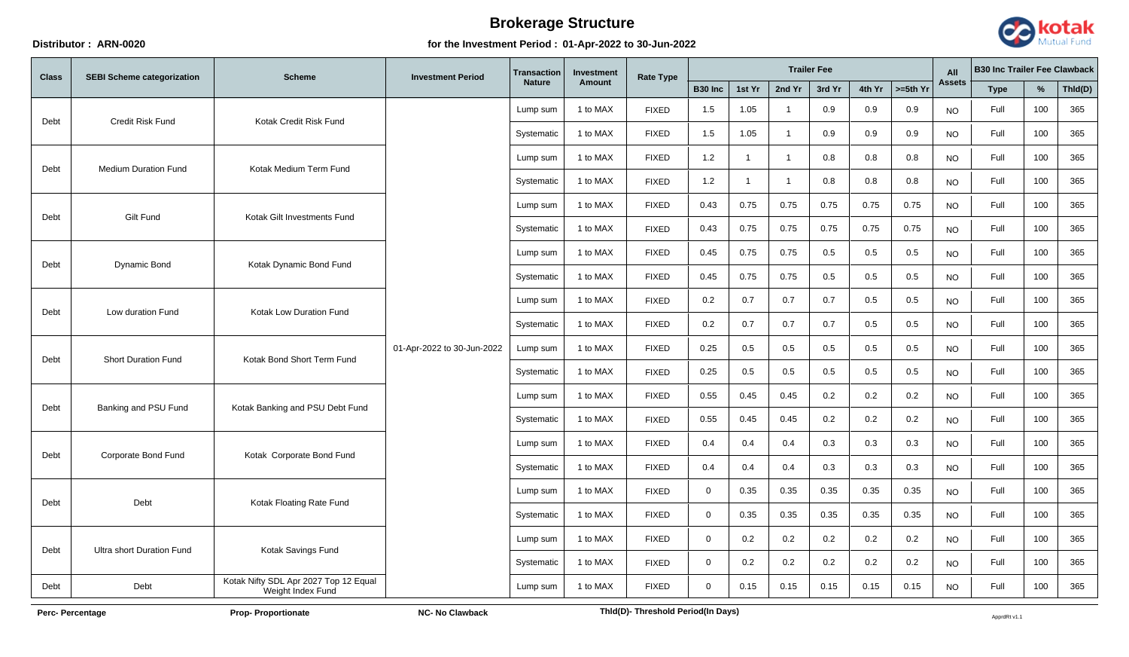## **Distributor : ARN-0020 for the Investment Period : 01-Apr-2022 to 30-Jun-2022**



| <b>Class</b> | <b>SEBI Scheme categorization</b> | <b>Scheme</b>                                              | <b>Investment Period</b>   | Transaction<br><b>Investment</b><br><b>Nature</b><br>Amount | Rate Type | <b>Trailer Fee</b> |              |                |                |        |        | All                   | <b>B30 Inc Trailer Fee Clawback</b> |             |      |         |     |
|--------------|-----------------------------------|------------------------------------------------------------|----------------------------|-------------------------------------------------------------|-----------|--------------------|--------------|----------------|----------------|--------|--------|-----------------------|-------------------------------------|-------------|------|---------|-----|
|              |                                   |                                                            |                            |                                                             |           |                    | B30 Inc      | 1st Yr         | 2nd Yr         | 3rd Yr | 4th Yr | $\Rightarrow$ =5th Yr | <b>Assets</b>                       | <b>Type</b> | %    | Thld(D) |     |
| Debt         | <b>Credit Risk Fund</b>           | Kotak Credit Risk Fund                                     |                            | Lump sum                                                    | 1 to MAX  | <b>FIXED</b>       | 1.5          | 1.05           | $\mathbf{1}$   | 0.9    | 0.9    | 0.9                   | <b>NO</b>                           | Full        | 100  | 365     |     |
|              |                                   |                                                            |                            | Systematic                                                  | 1 to MAX  | <b>FIXED</b>       | 1.5          | 1.05           | $\mathbf{1}$   | 0.9    | 0.9    | 0.9                   | <b>NO</b>                           | Full        | 100  | 365     |     |
| Debt         | <b>Medium Duration Fund</b>       | Kotak Medium Term Fund                                     |                            | Lump sum                                                    | 1 to MAX  | <b>FIXED</b>       | 1.2          | $\overline{1}$ | $\overline{1}$ | 0.8    | 0.8    | 0.8                   | <b>NO</b>                           | Full        | 100  | 365     |     |
|              |                                   |                                                            |                            | Systematic                                                  | 1 to MAX  | <b>FIXED</b>       | 1.2          | $\overline{1}$ | $\mathbf{1}$   | 0.8    | 0.8    | 0.8                   | <b>NO</b>                           | Full        | 100  | 365     |     |
| Debt         | Gilt Fund                         | Kotak Gilt Investments Fund                                |                            | Lump sum                                                    | 1 to MAX  | <b>FIXED</b>       | 0.43         | 0.75           | 0.75           | 0.75   | 0.75   | 0.75                  | <b>NO</b>                           | Full        | 100  | 365     |     |
|              |                                   |                                                            |                            | Systematic                                                  | 1 to MAX  | <b>FIXED</b>       | 0.43         | 0.75           | 0.75           | 0.75   | 0.75   | 0.75                  | <b>NO</b>                           | Full        | 100  | 365     |     |
|              |                                   | Kotak Dynamic Bond Fund                                    |                            | Lump sum                                                    | 1 to MAX  | <b>FIXED</b>       | 0.45         | 0.75           | 0.75           | 0.5    | 0.5    | 0.5                   | <b>NO</b>                           | Full        | 100  | 365     |     |
| Debt         | Dynamic Bond                      |                                                            |                            | Systematic                                                  | 1 to MAX  | <b>FIXED</b>       | 0.45         | 0.75           | 0.75           | 0.5    | 0.5    | 0.5                   | <b>NO</b>                           | Full        | 100  | 365     |     |
|              |                                   | <b>Kotak Low Duration Fund</b>                             |                            |                                                             | Lump sum  | 1 to MAX           | <b>FIXED</b> | 0.2            | 0.7            | 0.7    | 0.7    | 0.5                   | 0.5                                 | <b>NO</b>   | Full | 100     | 365 |
| Debt         | Low duration Fund                 |                                                            | 01-Apr-2022 to 30-Jun-2022 | Systematic                                                  | 1 to MAX  | <b>FIXED</b>       | 0.2          | 0.7            | 0.7            | 0.7    | 0.5    | 0.5                   | <b>NO</b>                           | Full        | 100  | 365     |     |
|              | <b>Short Duration Fund</b>        | Kotak Bond Short Term Fund                                 |                            | Lump sum                                                    | 1 to MAX  | <b>FIXED</b>       | 0.25         | 0.5            | 0.5            | 0.5    | 0.5    | 0.5                   | <b>NO</b>                           | Full        | 100  | 365     |     |
| Debt         |                                   |                                                            |                            | Systematic                                                  | 1 to MAX  | <b>FIXED</b>       | 0.25         | 0.5            | 0.5            | 0.5    | 0.5    | 0.5                   | NO.                                 | Full        | 100  | 365     |     |
|              |                                   | Kotak Banking and PSU Debt Fund                            |                            | Lump sum                                                    | 1 to MAX  | <b>FIXED</b>       | 0.55         | 0.45           | 0.45           | 0.2    | 0.2    | 0.2                   | <b>NO</b>                           | Full        | 100  | 365     |     |
| Debt         | Banking and PSU Fund              |                                                            |                            | Systematic                                                  | 1 to MAX  | <b>FIXED</b>       | 0.55         | 0.45           | 0.45           | 0.2    | 0.2    | 0.2                   | <b>NO</b>                           | Full        | 100  | 365     |     |
|              |                                   |                                                            |                            | Lump sum                                                    | 1 to MAX  | <b>FIXED</b>       | 0.4          | 0.4            | 0.4            | 0.3    | 0.3    | 0.3                   | NO.                                 | Full        | 100  | 365     |     |
| Debt         | Corporate Bond Fund               | Kotak Corporate Bond Fund                                  |                            | Systematic                                                  | 1 to MAX  | <b>FIXED</b>       | 0.4          | 0.4            | 0.4            | 0.3    | 0.3    | 0.3                   | <b>NO</b>                           | Full        | 100  | 365     |     |
|              |                                   |                                                            |                            | Lump sum                                                    | 1 to MAX  | <b>FIXED</b>       | $\mathbf 0$  | 0.35           | 0.35           | 0.35   | 0.35   | 0.35                  | <b>NO</b>                           | Full        | 100  | 365     |     |
| Debt         | Debt                              | Kotak Floating Rate Fund                                   |                            | Systematic                                                  | 1 to MAX  | <b>FIXED</b>       | $\mathbf 0$  | 0.35           | 0.35           | 0.35   | 0.35   | 0.35                  | <b>NO</b>                           | Full        | 100  | 365     |     |
|              |                                   |                                                            |                            | Lump sum                                                    | 1 to MAX  | <b>FIXED</b>       | $\mathbf 0$  | 0.2            | 0.2            | 0.2    | 0.2    | 0.2                   | <b>NO</b>                           | Full        | 100  | 365     |     |
| Debt         | <b>Ultra short Duration Fund</b>  | Kotak Savings Fund                                         |                            | Systematic                                                  | 1 to MAX  | <b>FIXED</b>       | $\Omega$     | 0.2            | 0.2            | 0.2    | 0.2    | 0.2                   | <b>NO</b>                           | Full        | 100  | 365     |     |
| Debt         | Debt                              | Kotak Nifty SDL Apr 2027 Top 12 Equal<br>Weight Index Fund |                            | Lump sum                                                    | 1 to MAX  | <b>FIXED</b>       | $\Omega$     | 0.15           | 0.15           | 0.15   | 0.15   | 0.15                  | <b>NO</b>                           | Full        | 100  | 365     |     |

Perc- Percentage **Proportionate** Prop- Proportionate **NC- No Clawback** Approper and Thld(D)- Threshold Period(In Days)